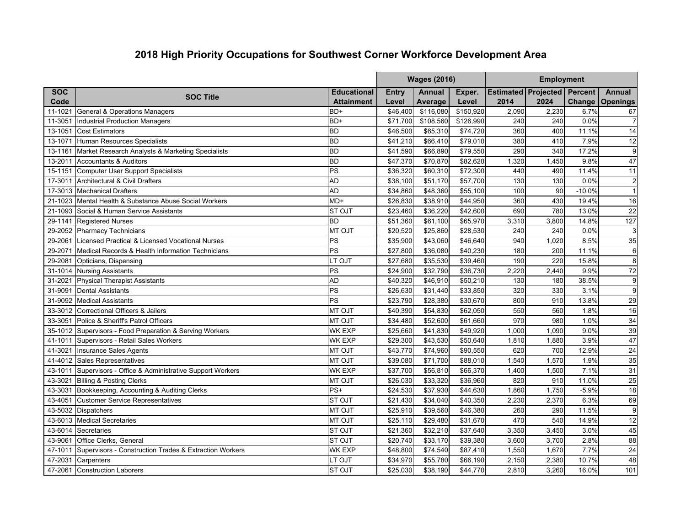## **2018 High Priority Occupations for Southwest Corner Workforce Development Area**

|            |                                                        |                    | <b>Wages (2016)</b> |               |           | <b>Employment</b>                  |       |          |                 |
|------------|--------------------------------------------------------|--------------------|---------------------|---------------|-----------|------------------------------------|-------|----------|-----------------|
| <b>SOC</b> |                                                        | <b>Educational</b> | <b>Entry</b>        | <b>Annual</b> | Exper.    | <b>Estimated Projected Percent</b> |       |          | <b>Annual</b>   |
| Code       | <b>SOC Title</b>                                       | <b>Attainment</b>  | Level               | Average       | Level     | 2014                               | 2024  | Change   | Openings        |
| 11-1021    | <b>General &amp; Operations Managers</b>               | BD+                | \$46,400            | \$116,080     | \$150.920 | 2,090                              | 2,230 | 6.7%     | 67              |
| 11-3051    | <b>Industrial Production Managers</b>                  | BD+                | \$71,700            | \$108,560     | \$126,990 | 240                                | 240   | 0.0%     | $\overline{7}$  |
| 13-1051    | <b>Cost Estimators</b>                                 | <b>BD</b>          | \$46,500            | \$65,310      | \$74,720  | 360                                | 400   | 11.1%    | 14              |
| 13-1071    | Human Resources Specialists                            | <b>BD</b>          | \$41,210            | \$66,410      | \$79,010  | 380                                | 410   | 7.9%     | 12              |
| 13-1161    | Market Research Analysts & Marketing Specialists       | <b>BD</b>          | \$41,590            | \$66,890      | \$79,550  | 290                                | 340   | 17.2%    | $9\,$           |
| 13-2011    | <b>Accountants &amp; Auditors</b>                      | BD                 | \$47,370            | \$70,870      | \$82,620  | 1,320                              | 1,450 | 9.8%     | 47              |
| 15-1151    | <b>Computer User Support Specialists</b>               | PS                 | \$36,320            | \$60,310      | \$72,300  | 440                                | 490   | 11.4%    | 11              |
| 17-3011    | Architectural & Civil Drafters                         | <b>AD</b>          | \$38,100            | \$51,170      | \$57,700  | 130                                | 130   | 0.0%     | $\overline{c}$  |
| 17-3013    | <b>Mechanical Drafters</b>                             | <b>AD</b>          | \$34,860            | \$48,360      | \$55,100  | 100                                | 90    | $-10.0%$ | $\mathbf{1}$    |
| 21-1023    | Mental Health & Substance Abuse Social Workers         | $MD+$              | \$26,830            | \$38,910      | \$44,950  | 360                                | 430   | 19.4%    | 16              |
| 21-1093    | Social & Human Service Assistants                      | <b>ST OJT</b>      | \$23,460            | \$36,220      | \$42,600  | 690                                | 780   | 13.0%    | $\overline{22}$ |
| 29-1141    | <b>Registered Nurses</b>                               | <b>BD</b>          | \$51,360            | \$61,100      | \$65,970  | 3,310                              | 3,800 | 14.8%    | 127             |
|            | 29-2052 Pharmacy Technicians                           | <b>MT OJT</b>      | \$20,520            | \$25,860      | \$28,530  | 240                                | 240   | 0.0%     | $\mathsf 3$     |
| 29-2061    | Licensed Practical & Licensed Vocational Nurses        | PS                 | \$35,900            | \$43,060      | \$46,640  | 940                                | 1,020 | 8.5%     | 35              |
| 29-2071    | Medical Records & Health Information Technicians       | PS                 | \$27,800            | \$36,080      | \$40,230  | 180                                | 200   | 11.1%    | $\,6\,$         |
| 29-2081    | Opticians, Dispensing                                  | LT OJT             | \$27,680            | \$35,530      | \$39,460  | 190                                | 220   | 15.8%    | $\overline{8}$  |
| 31-1014    | <b>Nursing Assistants</b>                              | PS                 | \$24,900            | \$32,790      | \$36,730  | 2,220                              | 2,440 | 9.9%     | 72              |
| 31-2021    | <b>Physical Therapist Assistants</b>                   | <b>AD</b>          | \$40,320            | \$46,910      | \$50,210  | 130                                | 180   | 38.5%    | $\overline{9}$  |
| 31-9091    | <b>Dental Assistants</b>                               | PS                 | \$26,630            | \$31,440      | \$33,850  | 320                                | 330   | 3.1%     | 9               |
| 31-9092    | <b>Medical Assistants</b>                              | PS                 | \$23,790            | \$28,380      | \$30.670  | 800                                | 910   | 13.8%    | 29              |
| 33-3012    | Correctional Officers & Jailers                        | <b>MT OJT</b>      | \$40,390            | \$54,830      | \$62,050  | 550                                | 560   | 1.8%     | 16              |
| 33-3051    | Police & Sheriff's Patrol Officers                     | <b>MT OJT</b>      | \$34,480            | \$52,600      | \$61,660  | 970                                | 980   | 1.0%     | 34              |
| 35-1012    | Supervisors - Food Preparation & Serving Workers       | <b>WK EXP</b>      | \$25,660            | \$41,830      | \$49,920  | 1,000                              | 1,090 | 9.0%     | 39              |
| 41-1011    | Supervisors - Retail Sales Workers                     | <b>WK EXP</b>      | \$29,300            | \$43,530      | \$50,640  | 1,810                              | 1,880 | 3.9%     | 47              |
| 41-3021    | Insurance Sales Agents                                 | <b>MT OJT</b>      | \$43,770            | \$74,960      | \$90,550  | 620                                | 700   | 12.9%    | $\overline{24}$ |
|            | 41-4012 Sales Representatives                          | <b>MT OJT</b>      | \$39,080            | \$71,700      | \$88,010  | 1,540                              | 1,570 | 1.9%     | 35              |
| 43-1011    | Supervisors - Office & Administrative Support Workers  | <b>WK EXP</b>      | \$37,700            | \$56,810      | \$66,370  | 1,400                              | 1,500 | 7.1%     | 31              |
| 43-3021    | <b>Billing &amp; Posting Clerks</b>                    | <b>MT OJT</b>      | \$26,030            | \$33,320      | \$36,960  | 820                                | 910   | 11.0%    | 25              |
| 43-3031    | Bookkeeping, Accounting & Auditing Clerks              | PS+                | \$24,530            | \$37,930      | \$44.630  | 1,860                              | 1.750 | $-5.9%$  | 18              |
| 43-4051    | <b>Customer Service Representatives</b>                | ST OJT             | \$21,430            | \$34,040      | \$40,350  | 2,230                              | 2,370 | 6.3%     | 69              |
|            | 43-5032 Dispatchers                                    | <b>MT OJT</b>      | \$25,910            | \$39,560      | \$46,380  | 260                                | 290   | 11.5%    | $\overline{9}$  |
|            | 43-6013 Medical Secretaries                            | <b>MT OJT</b>      | \$25,110            | \$29,480      | \$31,670  | 470                                | 540   | 14.9%    | 12              |
| 43-6014    | Secretaries                                            | ST OJT             | \$21,360            | \$32,210      | \$37,640  | 3,350                              | 3,450 | 3.0%     | 45              |
| 43-9061    | Office Clerks, General                                 | <b>ST OJT</b>      | \$20,740            | \$33,170      | \$39,380  | 3,600                              | 3,700 | 2.8%     | $\overline{88}$ |
| 47-1011    | Supervisors - Construction Trades & Extraction Workers | <b>WK EXP</b>      | \$48,800            | \$74,540      | \$87,410  | 1,550                              | 1,670 | 7.7%     | 24              |
| 47-2031    | Carpenters                                             | LT OJT             | \$34,970            | \$55,780      | \$66,190  | 2,150                              | 2,380 | 10.7%    | 48              |
|            | 47-2061 Construction Laborers                          | <b>ST OJT</b>      | \$25,030            | \$38,190      | \$44.770  | 2.810                              | 3,260 | 16.0%    | 101             |